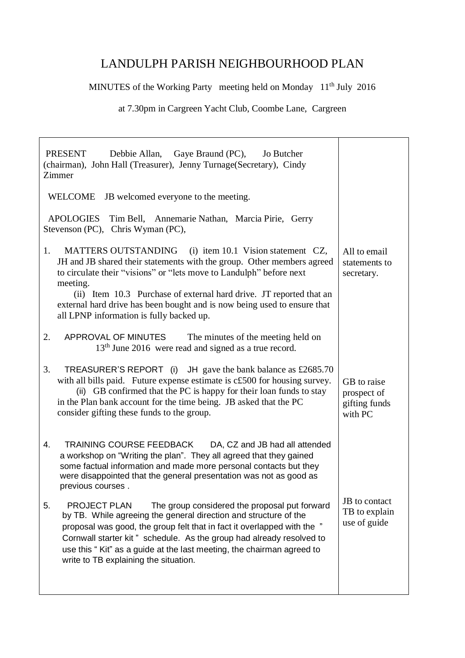## LANDULPH PARISH NEIGHBOURHOOD PLAN

MINUTES of the Working Party meeting held on Monday 11<sup>th</sup> July 2016

at 7.30pm in Cargreen Yacht Club, Coombe Lane, Cargreen

| PRESENT<br>Debbie Allan, Gaye Braund (PC), Jo Butcher<br>(chairman), John Hall (Treasurer), Jenny Turnage (Secretary), Cindy<br>Zimmer                                                                                                                                                                                                                                                                                   |                                                        |
|--------------------------------------------------------------------------------------------------------------------------------------------------------------------------------------------------------------------------------------------------------------------------------------------------------------------------------------------------------------------------------------------------------------------------|--------------------------------------------------------|
| JB welcomed everyone to the meeting.<br><b>WELCOME</b>                                                                                                                                                                                                                                                                                                                                                                   |                                                        |
| <b>APOLOGIES</b><br>Tim Bell, Annemarie Nathan, Marcia Pirie, Gerry<br>Stevenson (PC), Chris Wyman (PC),                                                                                                                                                                                                                                                                                                                 |                                                        |
| MATTERS OUTSTANDING (i) item 10.1 Vision statement CZ,<br>1.<br>JH and JB shared their statements with the group. Other members agreed<br>to circulate their "visions" or "lets move to Landulph" before next<br>meeting.<br>(ii) Item 10.3 Purchase of external hard drive. JT reported that an<br>external hard drive has been bought and is now being used to ensure that<br>all LPNP information is fully backed up. | All to email<br>statements to<br>secretary.            |
| 2.<br>APPROVAL OF MINUTES<br>The minutes of the meeting held on<br>13 <sup>th</sup> June 2016 were read and signed as a true record.                                                                                                                                                                                                                                                                                     |                                                        |
| 3.<br><b>TREASURER'S REPORT</b> (i) JH gave the bank balance as $\text{\pounds}2685.70$<br>with all bills paid. Future expense estimate is c£500 for housing survey.<br>(ii) GB confirmed that the PC is happy for their loan funds to stay<br>in the Plan bank account for the time being. JB asked that the PC<br>consider gifting these funds to the group.                                                           | GB to raise<br>prospect of<br>gifting funds<br>with PC |
| TRAINING COURSE FEEDBACK<br>DA, CZ and JB had all attended<br>4.<br>a workshop on "Writing the plan". They all agreed that they gained<br>some factual information and made more personal contacts but they<br>were disappointed that the general presentation was not as good as<br>previous courses.                                                                                                                   |                                                        |
| 5.<br><b>PROJECT PLAN</b><br>The group considered the proposal put forward<br>by TB. While agreeing the general direction and structure of the<br>proposal was good, the group felt that in fact it overlapped with the "<br>Cornwall starter kit" schedule. As the group had already resolved to<br>use this "Kit" as a guide at the last meeting, the chairman agreed to<br>write to TB explaining the situation.      | JB to contact<br>TB to explain<br>use of guide         |
|                                                                                                                                                                                                                                                                                                                                                                                                                          |                                                        |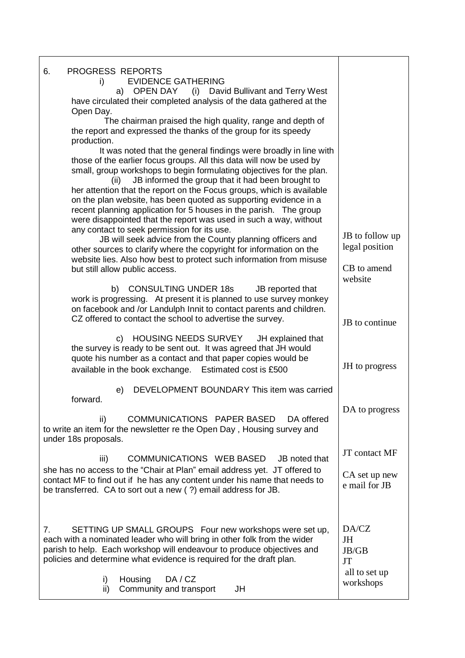| PROGRESS REPORTS<br>6.                                                                                                                             |                            |
|----------------------------------------------------------------------------------------------------------------------------------------------------|----------------------------|
| <b>EVIDENCE GATHERING</b><br>i)<br>a) OPEN DAY (i) David Bullivant and Terry West                                                                  |                            |
| have circulated their completed analysis of the data gathered at the                                                                               |                            |
| Open Day.                                                                                                                                          |                            |
| The chairman praised the high quality, range and depth of<br>the report and expressed the thanks of the group for its speedy<br>production.        |                            |
| It was noted that the general findings were broadly in line with                                                                                   |                            |
| those of the earlier focus groups. All this data will now be used by<br>small, group workshops to begin formulating objectives for the plan.       |                            |
| JB informed the group that it had been brought to<br>(ii)                                                                                          |                            |
| her attention that the report on the Focus groups, which is available<br>on the plan website, has been quoted as supporting evidence in a          |                            |
| recent planning application for 5 houses in the parish. The group                                                                                  |                            |
| were disappointed that the report was used in such a way, without<br>any contact to seek permission for its use.                                   |                            |
| JB will seek advice from the County planning officers and                                                                                          | JB to follow up            |
| other sources to clarify where the copyright for information on the                                                                                | legal position             |
| website lies. Also how best to protect such information from misuse<br>but still allow public access.                                              | CB to amend                |
|                                                                                                                                                    | website                    |
| b) CONSULTING UNDER 18s<br>JB reported that<br>work is progressing. At present it is planned to use survey monkey                                  |                            |
| on facebook and /or Landulph Innit to contact parents and children.                                                                                |                            |
| CZ offered to contact the school to advertise the survey.                                                                                          | JB to continue             |
| c) HOUSING NEEDS SURVEY<br>JH explained that                                                                                                       |                            |
| the survey is ready to be sent out. It was agreed that JH would<br>quote his number as a contact and that paper copies would be                    |                            |
| available in the book exchange. Estimated cost is £500                                                                                             | JH to progress             |
| DEVELOPMENT BOUNDARY This item was carried<br>e)                                                                                                   |                            |
| forward.                                                                                                                                           |                            |
| COMMUNICATIONS PAPER BASED<br>DA offered<br>ii)                                                                                                    | DA to progress             |
| to write an item for the newsletter re the Open Day, Housing survey and                                                                            |                            |
| under 18s proposals.                                                                                                                               |                            |
| COMMUNICATIONS WEB BASED<br>iii)<br>JB noted that                                                                                                  | JT contact MF              |
| she has no access to the "Chair at Plan" email address yet. JT offered to                                                                          | CA set up new              |
| contact MF to find out if he has any content under his name that needs to<br>be transferred. CA to sort out a new (?) email address for JB.        | e mail for JB              |
|                                                                                                                                                    |                            |
|                                                                                                                                                    |                            |
| SETTING UP SMALL GROUPS Four new workshops were set up,<br>$7_{\cdot}$<br>each with a nominated leader who will bring in other folk from the wider | DA/CZ<br>JH                |
| parish to help. Each workshop will endeavour to produce objectives and                                                                             | JB/GB                      |
| policies and determine what evidence is required for the draft plan.                                                                               | <b>JT</b>                  |
| DA/CZ<br>i)<br>Housing                                                                                                                             | all to set up<br>workshops |
| Community and transport<br>JH<br>ii)                                                                                                               |                            |